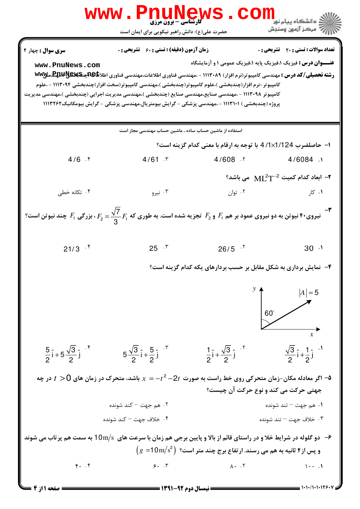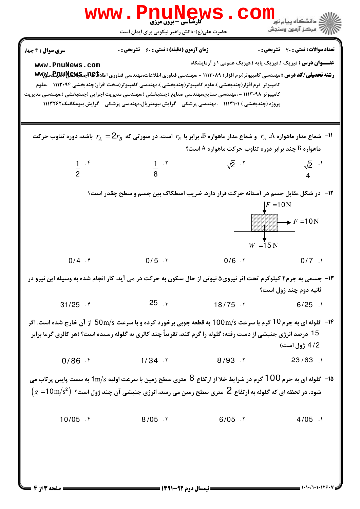| <b>WWW</b>                                                                                                                                                                                                                                                    | <b>FILUNGWS</b><br>کارشناسی - برون مرزی<br>حضرت علی(ع): دانش راهبر نیکویی برای ایمان است                                                                                                                                                                         |                                                                      | <mark>ڪ</mark> دانشگاه پيام نو <mark>ر</mark><br><i>الله = مرڪ</i> ز آزمون وسنڊش |
|---------------------------------------------------------------------------------------------------------------------------------------------------------------------------------------------------------------------------------------------------------------|------------------------------------------------------------------------------------------------------------------------------------------------------------------------------------------------------------------------------------------------------------------|----------------------------------------------------------------------|----------------------------------------------------------------------------------|
| <b>سری سوال : 4 چ</b> هار<br>www.PnuNews.com<br>کامپیوتر ۱۱۱۳۰۹۸ - ،مهندسی صنایع،مهندسی صنایع (چندبخشی )،مهندسی مدیریت اجرایی (چندبخشی )،مهندسی مدیریت                                                                                                        | <b>زمان آزمون (دقیقه) : تستی : 60 ٪ تشریحی : 0</b><br>کامپیوتر-نرم افزار(چندبخشی )،علوم کامپیوتر(چندبخشی )،مهندسی کامپیوتر(سخت افزار)چندبخشی ۱۱۱۳۰۹۴ - ،علوم<br>پروژه (چندبخشی ) ۱۱۱۳۱۰۱ - ،مهندسی پزشکی - گرایش بیومتریال،مهندسی پزشکی - گرایش بیومکانیک۱۱۱۳۲۶۲ | <b>عنـــوان درس :</b> فیزیک ۱،فیزیک پایه ۱،فیزیک عمومی ۱ و آزمایشگاه | <b>تعداد سوالات : تستی : 20 ٪ تشریحی : 0</b>                                     |
| ا شعاع مدار ماهواره $r_A$ و شعاع مدار ماهواره $B$ برابر با $r_B$ است. در صورتی که $2r_B$ باشد، دوره تناوب حرکت $^{-11}$<br>هاهواره B چند برابر دوره تناوب حرکت ماهواره A است؟                                                                                 |                                                                                                                                                                                                                                                                  |                                                                      |                                                                                  |
| $\frac{1}{2}$ . f                                                                                                                                                                                                                                             | $rac{1}{8}$ . r                                                                                                                                                                                                                                                  | $\sqrt{2}$ . T                                                       | $\frac{\sqrt{2}}{4}$ . <sup>1</sup>                                              |
| ۱۲- ً در شکل مقابل جسم در آستانه حرکت قرار دارد. ضریب اصطکاک بین جسم و سطح چقدر است؟<br>$F = 10N$<br>$W = 15 N$                                                                                                                                               |                                                                                                                                                                                                                                                                  |                                                                      |                                                                                  |
| $0/4$ . $\zeta$                                                                                                                                                                                                                                               | $0/5$ . $\sqrt{ }$                                                                                                                                                                                                                                               |                                                                      | $0/6$ . T $0/7$ . 1                                                              |
| ۱۳- جسمی به جرم۲ کیلوگرم تحت اثر نیروی۵ نیوتن از حال سکون به حرکت در می آید. کار انجام شده به وسیله این نیرو در<br>ثانیه دوم چند ژول است؟                                                                                                                     |                                                                                                                                                                                                                                                                  |                                                                      |                                                                                  |
| $31/25$ f                                                                                                                                                                                                                                                     | $25$ r                                                                                                                                                                                                                                                           | $18/75$ $\cdot$ $\cdot$                                              | $6/25$ .                                                                         |
| <b>۱۴</b> - گلوله ای به جرم 10 گرم با سرعت 100m/s به قطعه چوبی برخورد کرده و با سرعت 50m/s از آن خارج شده است. اگر                                                                                                                                            | 15 درصد انرژی جنبشی از دست رفته؛ گلوله را گرم کند، تقریباً چند کالری به گلوله رسیده است؟ (هر کالری گرما برابر                                                                                                                                                    |                                                                      | 4/2 ژول است)                                                                     |
|                                                                                                                                                                                                                                                               | $0/86$ f $1/34$ T                                                                                                                                                                                                                                                | $8/93$ $\sqrt{23/63}$ .                                              |                                                                                  |
| ه۹– گلوله ای به جرم 100 گرم در شرایط خلا از ارتفاع 8٪ متری سطح زمین با سرعت اولیه $\rm 1m/s$ به سمت پایین پرتاب می<br>$\rm\ (g\ =10m/s^2)$ شود. در لحظه ای که گلوله به ارتفاع $\rm\ Z$ متری سطح زمین می رسد، انرژی جنبشی آن چند ژول است؟ $\rm\ (g\ =10m/s^2)$ |                                                                                                                                                                                                                                                                  |                                                                      |                                                                                  |
| $10/05$ f                                                                                                                                                                                                                                                     | $8/05$ . T                                                                                                                                                                                                                                                       | $6/05$ . T                                                           | $4/05$ .                                                                         |

**= صفحه 3 از 4 =**